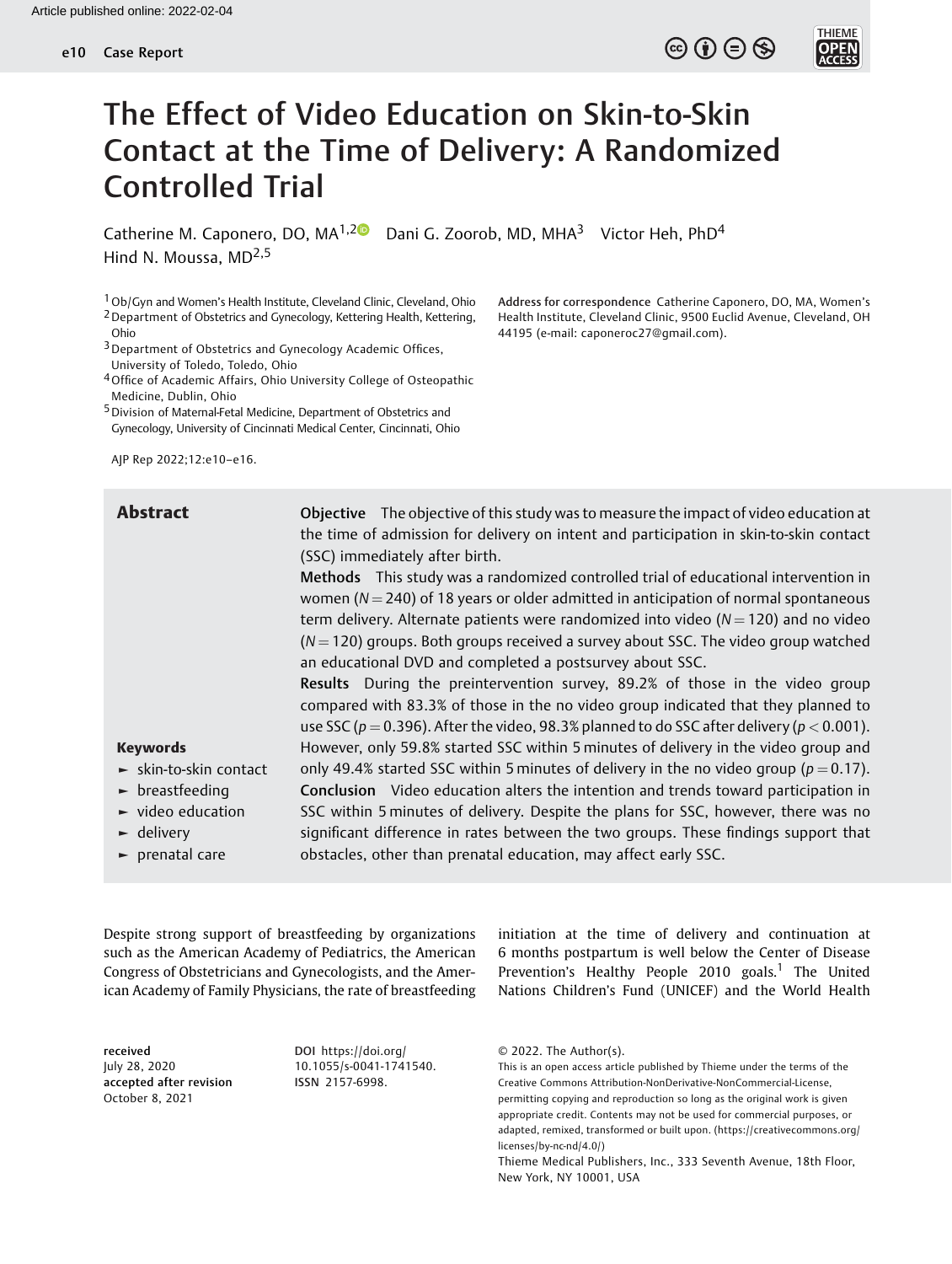

# The Effect of Video Education on Skin-to-Skin Contact at the Time of Delivery: A Randomized Controlled Trial

Catherine M. Caponero, DO, MA<sup>1,[2](https://orcid.org/0000-0002-2531-3260)</sup> Dani G. Zoorob, MD, MHA<sup>3</sup> Victor Heh, PhD<sup>4</sup> Hind N. Moussa, MD<sup>2,5</sup>

1Ob/Gyn and Women's Health Institute, Cleveland Clinic, Cleveland, Ohio 2Department of Obstetrics and Gynecology, Kettering Health, Kettering, Ohio

3Department of Obstetrics and Gynecology Academic Offices, University of Toledo, Toledo, Ohio

4Office of Academic Affairs, Ohio University College of Osteopathic Medicine, Dublin, Ohio

5Division of Maternal-Fetal Medicine, Department of Obstetrics and Gynecology, University of Cincinnati Medical Center, Cincinnati, Ohio

AJP Rep 2022;12:e10–e16.

Address for correspondence Catherine Caponero, DO, MA, Women's Health Institute, Cleveland Clinic, 9500 Euclid Avenue, Cleveland, OH 44195 (e-mail: [caponeroc27@gmail.com\)](mailto:caponeroc27@gmail.com).

Abstract Objective The objective of this study was to measure the impact of video education at the time of admission for delivery on intent and participation in skin-to-skin contact (SSC) immediately after birth.

Methods This study was a randomized controlled trial of educational intervention in women ( $N = 240$ ) of 18 years or older admitted in anticipation of normal spontaneous term delivery. Alternate patients were randomized into video ( $N = 120$ ) and no video  $(N = 120)$  groups. Both groups received a survey about SSC. The video group watched an educational DVD and completed a postsurvey about SSC.

Results During the preintervention survey, 89.2% of those in the video group compared with 83.3% of those in the no video group indicated that they planned to use SSC ( $p = 0.396$ ). After the video, 98.3% planned to do SSC after delivery ( $p < 0.001$ ). However, only 59.8% started SSC within 5 minutes of delivery in the video group and only 49.4% started SSC within 5 minutes of delivery in the no video group ( $p = 0.17$ ). Conclusion Video education alters the intention and trends toward participation in SSC within 5 minutes of delivery. Despite the plans for SSC, however, there was no significant difference in rates between the two groups. These findings support that obstacles, other than prenatal education, may affect early SSC.

- Keywords
- ► skin-to-skin contact
- ► breastfeeding
- ► video education
- ► delivery
- ► prenatal care

Despite strong support of breastfeeding by organizations such as the American Academy of Pediatrics, the American Congress of Obstetricians and Gynecologists, and the American Academy of Family Physicians, the rate of breastfeeding

received July 28, 2020 accepted after revision October 8, 2021

DOI [https://doi.org/](https://doi.org/10.1055/s-0041-1741540) [10.1055/s-0041-1741540](https://doi.org/10.1055/s-0041-1741540). ISSN 2157-6998.

initiation at the time of delivery and continuation at 6 months postpartum is well below the Center of Disease Prevention's Healthy People  $2010$  goals.<sup>1</sup> The United Nations Children's Fund (UNICEF) and the World Health

<sup>© 2022.</sup> The Author(s).

This is an open access article published by Thieme under the terms of the Creative Commons Attribution-NonDerivative-NonCommercial-License, permitting copying and reproduction so long as the original work is given appropriate credit. Contents may not be used for commercial purposes, or adapted, remixed, transformed or built upon. (https://creativecommons.org/ licenses/by-nc-nd/4.0/)

Thieme Medical Publishers, Inc., 333 Seventh Avenue, 18th Floor, New York, NY 10001, USA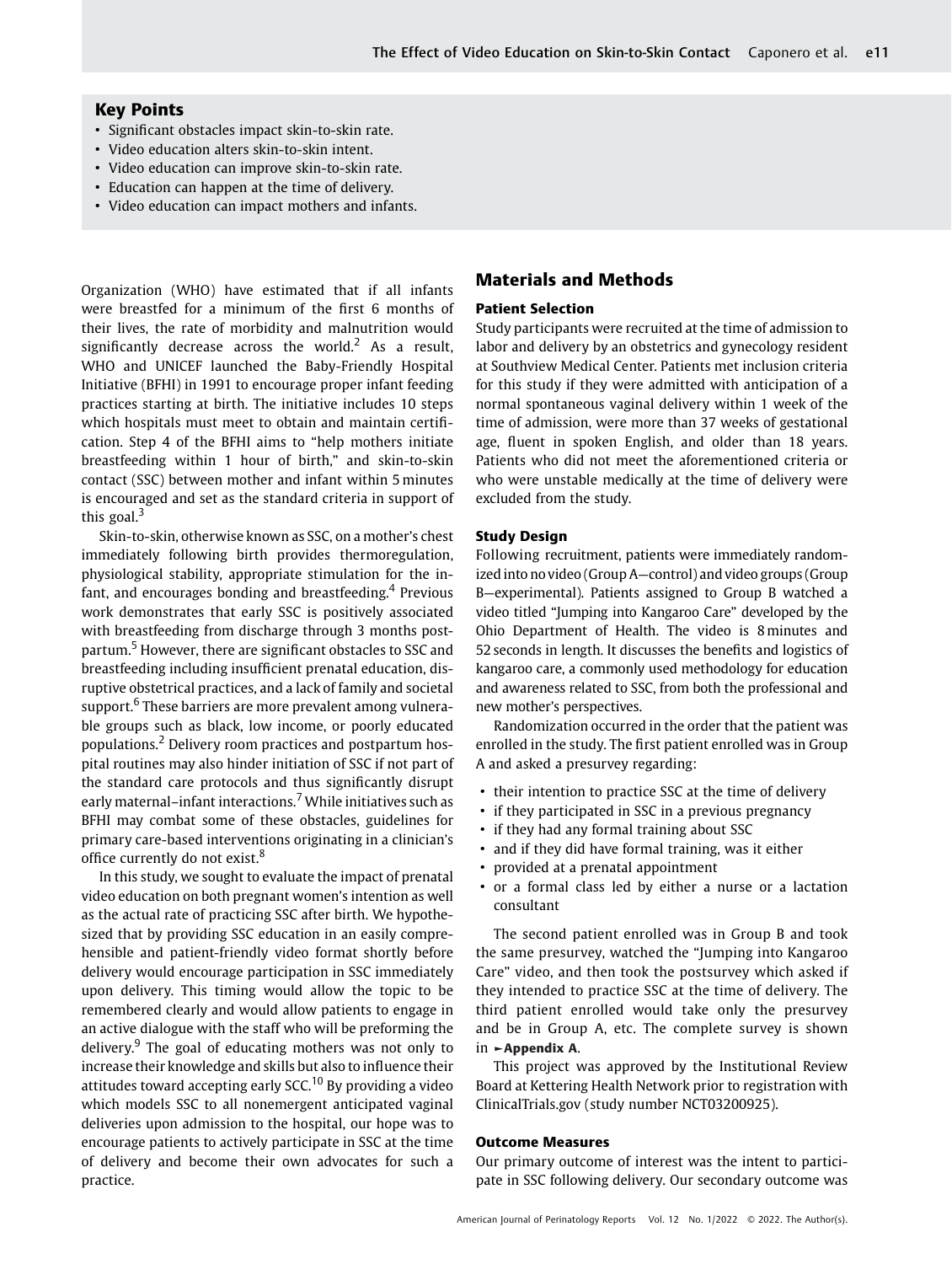# Key Points

- Significant obstacles impact skin-to-skin rate.
- Video education alters skin-to-skin intent.
- Video education can improve skin-to-skin rate.
- Education can happen at the time of delivery.
- Video education can impact mothers and infants.

Organization (WHO) have estimated that if all infants were breastfed for a minimum of the first 6 months of their lives, the rate of morbidity and malnutrition would significantly decrease across the world.<sup>2</sup> As a result, WHO and UNICEF launched the Baby-Friendly Hospital Initiative (BFHI) in 1991 to encourage proper infant feeding practices starting at birth. The initiative includes 10 steps which hospitals must meet to obtain and maintain certification. Step 4 of the BFHI aims to "help mothers initiate breastfeeding within 1 hour of birth," and skin-to-skin contact (SSC) between mother and infant within 5 minutes is encouraged and set as the standard criteria in support of this goal. $3$ 

Skin-to-skin, otherwise known as SSC, on a mother's chest immediately following birth provides thermoregulation, physiological stability, appropriate stimulation for the infant, and encourages bonding and breastfeeding.<sup>4</sup> Previous work demonstrates that early SSC is positively associated with breastfeeding from discharge through 3 months postpartum.<sup>5</sup> However, there are significant obstacles to SSC and breastfeeding including insufficient prenatal education, disruptive obstetrical practices, and a lack of family and societal support.<sup>6</sup> These barriers are more prevalent among vulnerable groups such as black, low income, or poorly educated populations.<sup>2</sup> Delivery room practices and postpartum hospital routines may also hinder initiation of SSC if not part of the standard care protocols and thus significantly disrupt early maternal–infant interactions.<sup>7</sup> While initiatives such as BFHI may combat some of these obstacles, guidelines for primary care-based interventions originating in a clinician's office currently do not exist.<sup>8</sup>

In this study, we sought to evaluate the impact of prenatal video education on both pregnant women's intention as well as the actual rate of practicing SSC after birth. We hypothesized that by providing SSC education in an easily comprehensible and patient-friendly video format shortly before delivery would encourage participation in SSC immediately upon delivery. This timing would allow the topic to be remembered clearly and would allow patients to engage in an active dialogue with the staff who will be preforming the delivery. $9$  The goal of educating mothers was not only to increase their knowledge and skills but also to influence their attitudes toward accepting early SCC.<sup>10</sup> By providing a video which models SSC to all nonemergent anticipated vaginal deliveries upon admission to the hospital, our hope was to encourage patients to actively participate in SSC at the time of delivery and become their own advocates for such a practice.

# Materials and Methods

## Patient Selection

Study participants were recruited at the time of admission to labor and delivery by an obstetrics and gynecology resident at Southview Medical Center. Patients met inclusion criteria for this study if they were admitted with anticipation of a normal spontaneous vaginal delivery within 1 week of the time of admission, were more than 37 weeks of gestational age, fluent in spoken English, and older than 18 years. Patients who did not meet the aforementioned criteria or who were unstable medically at the time of delivery were excluded from the study.

## Study Design

Following recruitment, patients were immediately randomized into no video (Group A—control) and video groups (Group B—experimental). Patients assigned to Group B watched a video titled "Jumping into Kangaroo Care" developed by the Ohio Department of Health. The video is 8 minutes and 52 seconds in length. It discusses the benefits and logistics of kangaroo care, a commonly used methodology for education and awareness related to SSC, from both the professional and new mother's perspectives.

Randomization occurred in the order that the patient was enrolled in the study. The first patient enrolled was in Group A and asked a presurvey regarding:

- their intention to practice SSC at the time of delivery
- if they participated in SSC in a previous pregnancy
- if they had any formal training about SSC
- and if they did have formal training, was it either
- provided at a prenatal appointment
- or a formal class led by either a nurse or a lactation consultant

The second patient enrolled was in Group B and took the same presurvey, watched the "Jumping into Kangaroo Care" video, and then took the postsurvey which asked if they intended to practice SSC at the time of delivery. The third patient enrolled would take only the presurvey and be in Group A, etc. The complete survey is shown in ►Appendix A.

This project was approved by the Institutional Review Board at Kettering Health Network prior to registration with ClinicalTrials.gov (study number NCT03200925).

#### Outcome Measures

Our primary outcome of interest was the intent to participate in SSC following delivery. Our secondary outcome was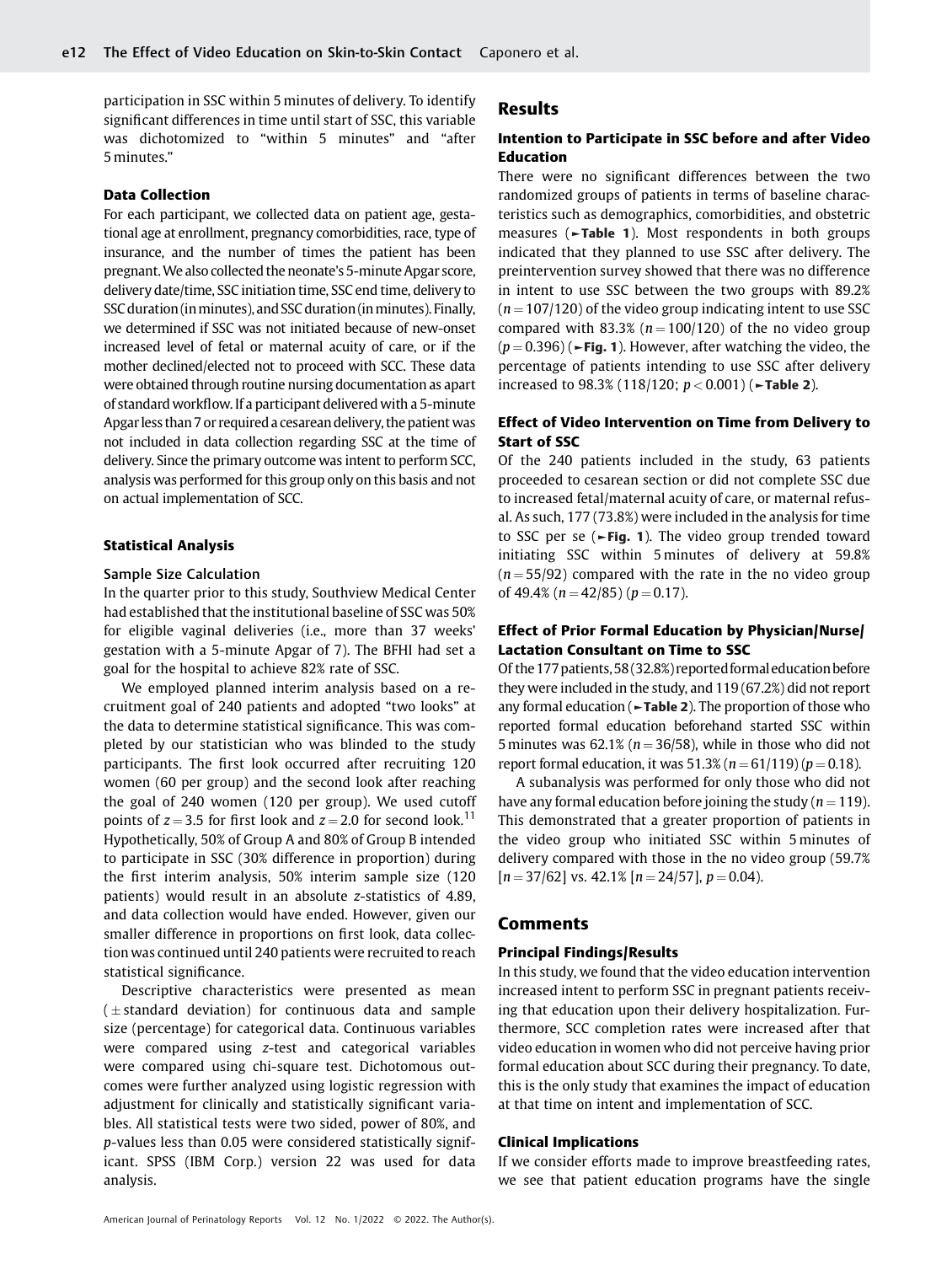participation in SSC within 5 minutes of delivery. To identify significant differences in time until start of SSC, this variable was dichotomized to "within 5 minutes" and "after 5 minutes."

## Data Collection

For each participant, we collected data on patient age, gestational age at enrollment, pregnancy comorbidities, race, type of insurance, and the number of times the patient has been pregnant.We also collected the neonate's 5-minute Apgar score, delivery date/time, SSC initiation time, SSC end time, delivery to SSC duration (in minutes), and SSC duration (in minutes). Finally, we determined if SSC was not initiated because of new-onset increased level of fetal or maternal acuity of care, or if the mother declined/elected not to proceed with SCC. These data were obtained through routine nursing documentation as apart of standard workflow. If a participant delivered with a 5-minute Apgarless than 7 or required a cesarean delivery, the patient was not included in data collection regarding SSC at the time of delivery. Since the primary outcome was intent to perform SCC, analysis was performed for this group only on this basis and not on actual implementation of SCC.

#### Statistical Analysis

### Sample Size Calculation

In the quarter prior to this study, Southview Medical Center had established that the institutional baseline of SSC was 50% for eligible vaginal deliveries (i.e., more than 37 weeks' gestation with a 5-minute Apgar of 7). The BFHI had set a goal for the hospital to achieve 82% rate of SSC.

We employed planned interim analysis based on a recruitment goal of 240 patients and adopted "two looks" at the data to determine statistical significance. This was completed by our statistician who was blinded to the study participants. The first look occurred after recruiting 120 women (60 per group) and the second look after reaching the goal of 240 women (120 per group). We used cutoff points of  $z = 3.5$  for first look and  $z = 2.0$  for second look.<sup>11</sup> Hypothetically, 50% of Group A and 80% of Group B intended to participate in SSC (30% difference in proportion) during the first interim analysis, 50% interim sample size (120 patients) would result in an absolute z-statistics of 4.89, and data collection would have ended. However, given our smaller difference in proportions on first look, data collection was continued until 240 patients were recruited to reach statistical significance.

Descriptive characteristics were presented as mean  $(\pm$  standard deviation) for continuous data and sample size (percentage) for categorical data. Continuous variables were compared using z-test and categorical variables were compared using chi-square test. Dichotomous outcomes were further analyzed using logistic regression with adjustment for clinically and statistically significant variables. All statistical tests were two sided, power of 80%, and p-values less than 0.05 were considered statistically significant. SPSS (IBM Corp.) version 22 was used for data analysis.

## Results

## Intention to Participate in SSC before and after Video Education

There were no significant differences between the two randomized groups of patients in terms of baseline characteristics such as demographics, comorbidities, and obstetric measures (►Table 1). Most respondents in both groups indicated that they planned to use SSC after delivery. The preintervention survey showed that there was no difference in intent to use SSC between the two groups with 89.2%  $(n = 107/120)$  of the video group indicating intent to use SSC compared with 83.3% ( $n = 100/120$ ) of the no video group  $(p = 0.396)$  ( $\blacktriangleright$ Fig. 1). However, after watching the video, the percentage of patients intending to use SSC after delivery increased to 98.3% (118/120;  $p < 0.001$ ) ( $\blacktriangleright$ Table 2).

## Effect of Video Intervention on Time from Delivery to Start of SSC

Of the 240 patients included in the study, 63 patients proceeded to cesarean section or did not complete SSC due to increased fetal/maternal acuity of care, or maternal refusal. As such, 177 (73.8%) were included in the analysis for time to SSC per se ( $\blacktriangleright$ Fig. 1). The video group trended toward initiating SSC within 5 minutes of delivery at 59.8%  $(n = 55/92)$  compared with the rate in the no video group of 49.4% ( $n = 42/85$ ) ( $p = 0.17$ ).

# Effect of Prior Formal Education by Physician/Nurse/ Lactation Consultant on Time to SSC

Of the 177 patients, 58 (32.8%) reported formal education before they were included in the study, and 119 (67.2%) did not report any formal education (►Table 2). The proportion of those who reported formal education beforehand started SSC within 5 minutes was 62.1% ( $n = 36/58$ ), while in those who did not report formal education, it was  $51.3\%$  ( $n = 61/119$ ) ( $p = 0.18$ ).

A subanalysis was performed for only those who did not have any formal education before joining the study ( $n = 119$ ). This demonstrated that a greater proportion of patients in the video group who initiated SSC within 5 minutes of delivery compared with those in the no video group (59.7%  $[n = 37/62]$  vs. 42.1%  $[n = 24/57]$ ,  $p = 0.04$ ).

## **Comments**

#### Principal Findings/Results

In this study, we found that the video education intervention increased intent to perform SSC in pregnant patients receiving that education upon their delivery hospitalization. Furthermore, SCC completion rates were increased after that video education in women who did not perceive having prior formal education about SCC during their pregnancy. To date, this is the only study that examines the impact of education at that time on intent and implementation of SCC.

## Clinical Implications

If we consider efforts made to improve breastfeeding rates, we see that patient education programs have the single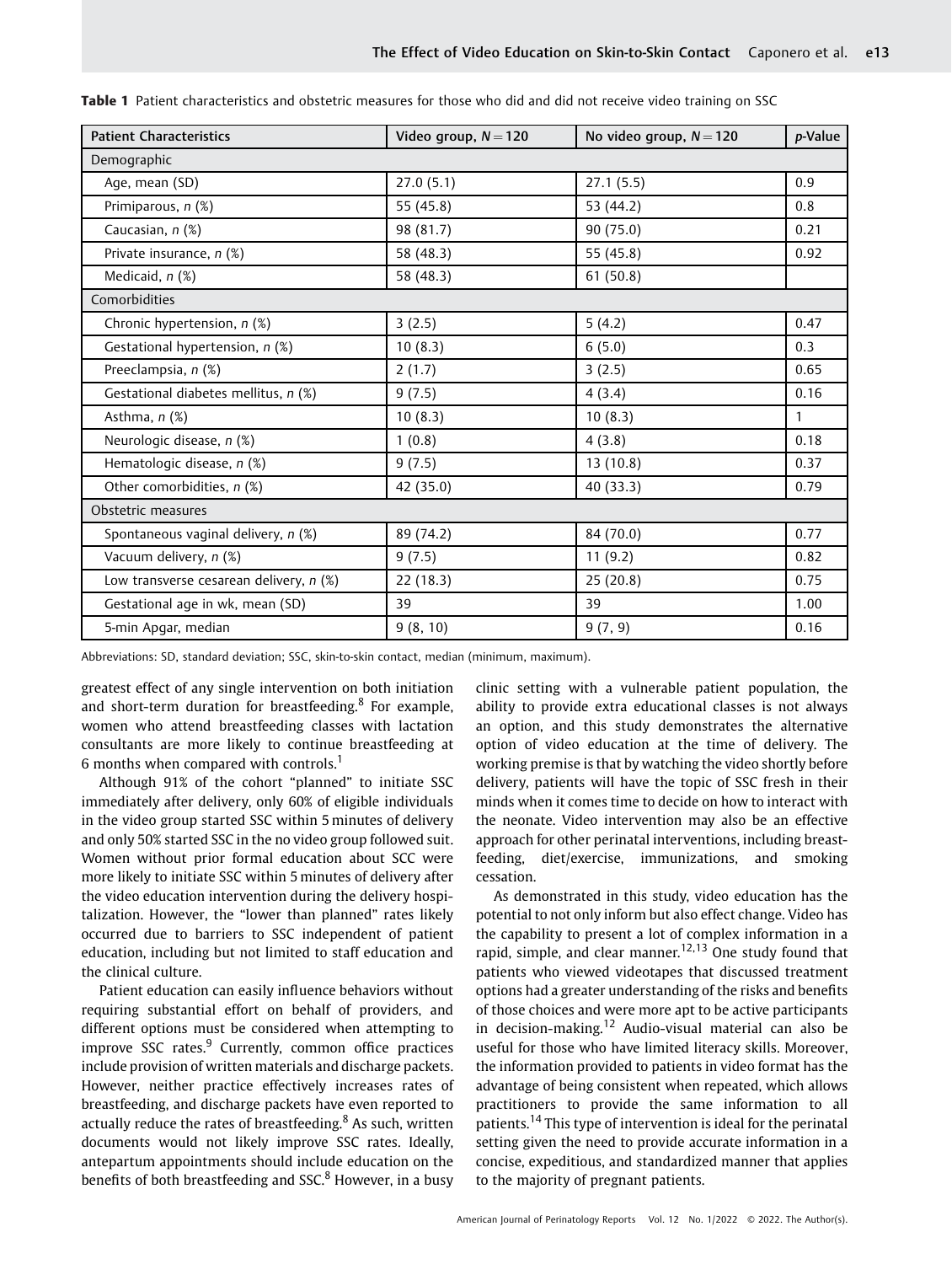| <b>Patient Characteristics</b>            | Video group, $N = 120$ | No video group, $N = 120$ | p-Value      |  |
|-------------------------------------------|------------------------|---------------------------|--------------|--|
| Demographic                               |                        |                           |              |  |
| Age, mean (SD)                            | 27.0(5.1)              | 27.1(5.5)                 | 0.9          |  |
| Primiparous, n (%)                        | 55 (45.8)              | 53 (44.2)                 | 0.8          |  |
| Caucasian, n (%)                          | 98 (81.7)              | 90 (75.0)                 | 0.21         |  |
| Private insurance, n (%)                  | 58 (48.3)              | 55 (45.8)                 | 0.92         |  |
| Medicaid, $n$ $(\%)$                      | 58 (48.3)              | 61(50.8)                  |              |  |
| Comorbidities                             |                        |                           |              |  |
| Chronic hypertension, n (%)               | 3(2.5)                 | 5(4.2)                    | 0.47         |  |
| Gestational hypertension, n (%)           | 10(8.3)                | 6(5.0)                    | 0.3          |  |
| Preeclampsia, n (%)                       | 2(1.7)                 | 3(2.5)                    | 0.65         |  |
| Gestational diabetes mellitus, n (%)      | 9(7.5)                 | 4(3.4)                    | 0.16         |  |
| Asthma, n (%)                             | 10(8.3)                | 10(8.3)                   | $\mathbf{1}$ |  |
| Neurologic disease, n (%)                 | 1(0.8)                 | 4(3.8)                    | 0.18         |  |
| Hematologic disease, n (%)                | 9(7.5)                 | 13(10.8)                  | 0.37         |  |
| Other comorbidities, n (%)                | 42 (35.0)              | 40 (33.3)                 | 0.79         |  |
| Obstetric measures                        |                        |                           |              |  |
| Spontaneous vaginal delivery, n (%)       | 89 (74.2)              | 84 (70.0)                 | 0.77         |  |
| Vacuum delivery, n (%)                    | 9(7.5)                 | 11(9.2)                   | 0.82         |  |
| Low transverse cesarean delivery, $n$ (%) | 22(18.3)               | 25(20.8)                  | 0.75         |  |
| Gestational age in wk, mean (SD)          | 39                     | 39                        | 1.00         |  |
| 5-min Apgar, median                       | 9(8, 10)               | 9(7, 9)                   | 0.16         |  |

Table 1 Patient characteristics and obstetric measures for those who did and did not receive video training on SSC

Abbreviations: SD, standard deviation; SSC, skin-to-skin contact, median (minimum, maximum).

greatest effect of any single intervention on both initiation and short-term duration for breastfeeding.<sup>8</sup> For example, women who attend breastfeeding classes with lactation consultants are more likely to continue breastfeeding at 6 months when compared with controls.<sup>1</sup>

Although 91% of the cohort "planned" to initiate SSC immediately after delivery, only 60% of eligible individuals in the video group started SSC within 5 minutes of delivery and only 50% started SSC in the no video group followed suit. Women without prior formal education about SCC were more likely to initiate SSC within 5 minutes of delivery after the video education intervention during the delivery hospitalization. However, the "lower than planned" rates likely occurred due to barriers to SSC independent of patient education, including but not limited to staff education and the clinical culture.

Patient education can easily influence behaviors without requiring substantial effort on behalf of providers, and different options must be considered when attempting to improve SSC rates. $9$  Currently, common office practices include provision of written materials and discharge packets. However, neither practice effectively increases rates of breastfeeding, and discharge packets have even reported to actually reduce the rates of breastfeeding. $8$  As such, written documents would not likely improve SSC rates. Ideally, antepartum appointments should include education on the benefits of both breastfeeding and SSC.<sup>8</sup> However, in a busy clinic setting with a vulnerable patient population, the ability to provide extra educational classes is not always an option, and this study demonstrates the alternative option of video education at the time of delivery. The working premise is that by watching the video shortly before delivery, patients will have the topic of SSC fresh in their minds when it comes time to decide on how to interact with the neonate. Video intervention may also be an effective approach for other perinatal interventions, including breastfeeding, diet/exercise, immunizations, and smoking cessation.

As demonstrated in this study, video education has the potential to not only inform but also effect change. Video has the capability to present a lot of complex information in a rapid, simple, and clear manner.<sup>12,13</sup> One study found that patients who viewed videotapes that discussed treatment options had a greater understanding of the risks and benefits of those choices and were more apt to be active participants in decision-making.<sup>12</sup> Audio-visual material can also be useful for those who have limited literacy skills. Moreover, the information provided to patients in video format has the advantage of being consistent when repeated, which allows practitioners to provide the same information to all patients.<sup>14</sup> This type of intervention is ideal for the perinatal setting given the need to provide accurate information in a concise, expeditious, and standardized manner that applies to the majority of pregnant patients.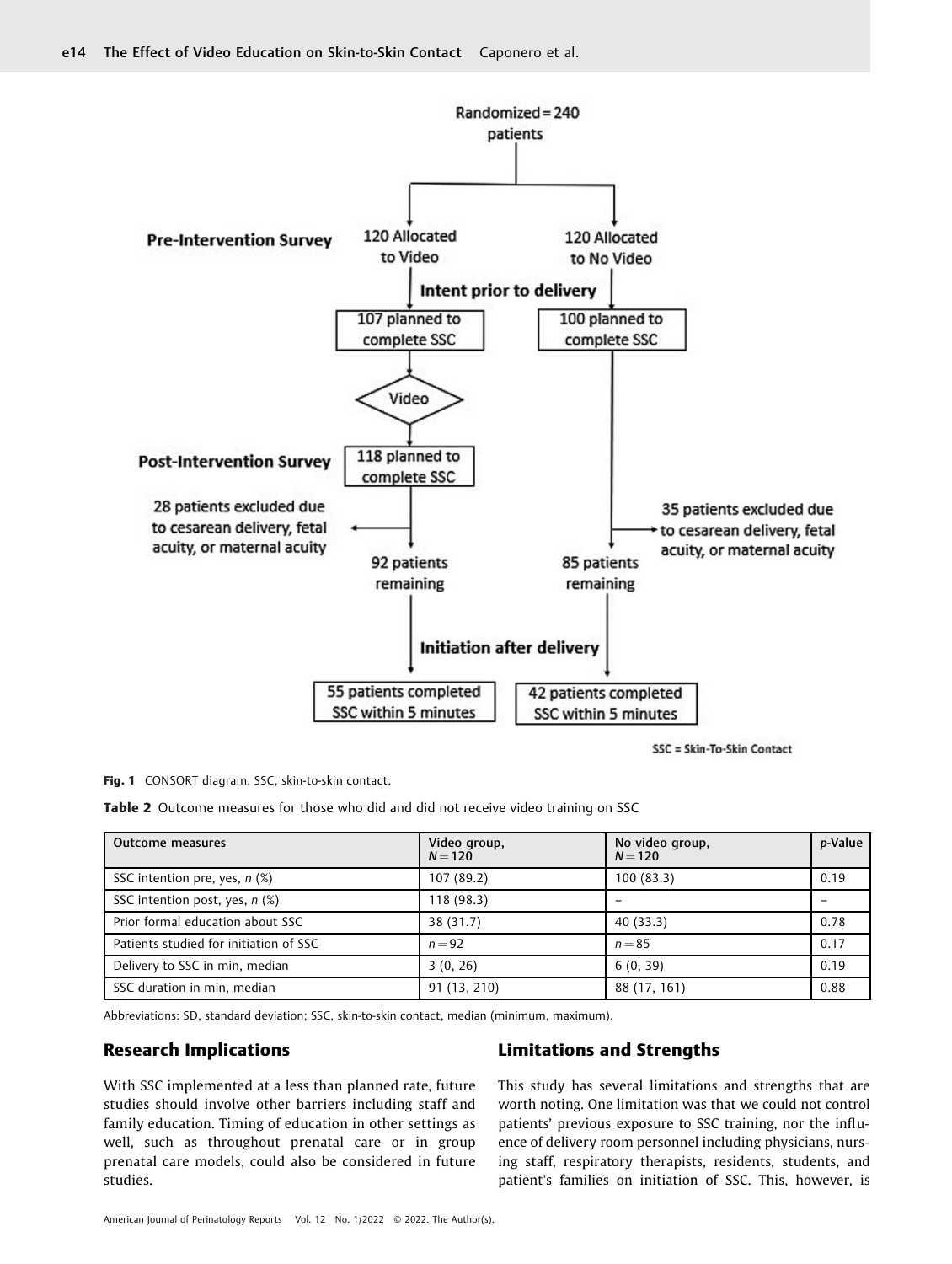

SSC = Skin-To-Skin Contact

Fig. 1 CONSORT diagram. SSC, skin-to-skin contact.

Table 2 Outcome measures for those who did and did not receive video training on SSC

| Outcome measures                       | Video group,<br>$N = 120$ | No video group,<br>$N = 120$ | p-Value |
|----------------------------------------|---------------------------|------------------------------|---------|
| SSC intention pre, yes, $n$ (%)        | 107 (89.2)                | 100(83.3)                    | 0.19    |
| SSC intention post, yes, $n$ (%)       | 118(98.3)                 |                              |         |
| Prior formal education about SSC       | 38 (31.7)                 | 40(33.3)                     | 0.78    |
| Patients studied for initiation of SSC | $n = 92$                  | $n = 85$                     | 0.17    |
| Delivery to SSC in min, median         | 3(0, 26)                  | 6(0, 39)                     | 0.19    |
| SSC duration in min, median            | 91 (13, 210)              | 88 (17, 161)                 | 0.88    |

Abbreviations: SD, standard deviation; SSC, skin-to-skin contact, median (minimum, maximum).

# Research Implications

With SSC implemented at a less than planned rate, future studies should involve other barriers including staff and family education. Timing of education in other settings as well, such as throughout prenatal care or in group prenatal care models, could also be considered in future studies.

## Limitations and Strengths

This study has several limitations and strengths that are worth noting. One limitation was that we could not control patients' previous exposure to SSC training, nor the influence of delivery room personnel including physicians, nursing staff, respiratory therapists, residents, students, and patient's families on initiation of SSC. This, however, is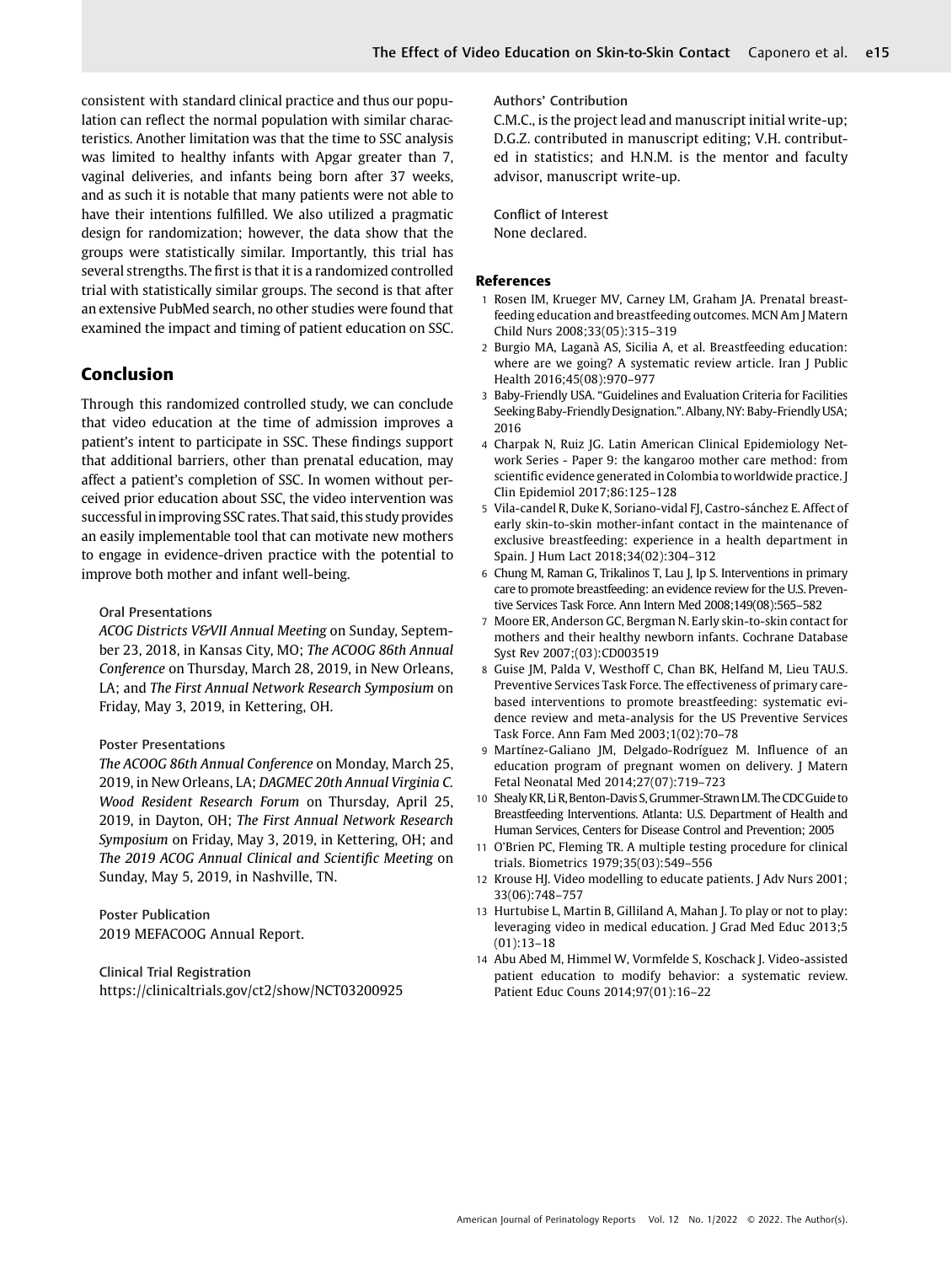consistent with standard clinical practice and thus our population can reflect the normal population with similar characteristics. Another limitation was that the time to SSC analysis was limited to healthy infants with Apgar greater than 7, vaginal deliveries, and infants being born after 37 weeks, and as such it is notable that many patients were not able to have their intentions fulfilled. We also utilized a pragmatic design for randomization; however, the data show that the groups were statistically similar. Importantly, this trial has several strengths. The first is that it is a randomized controlled trial with statistically similar groups. The second is that after an extensive PubMed search, no other studies were found that examined the impact and timing of patient education on SSC.

# Conclusion

Through this randomized controlled study, we can conclude that video education at the time of admission improves a patient's intent to participate in SSC. These findings support that additional barriers, other than prenatal education, may affect a patient's completion of SSC. In women without perceived prior education about SSC, the video intervention was successful in improving SSC rates. That said, this study provides an easily implementable tool that can motivate new mothers to engage in evidence-driven practice with the potential to improve both mother and infant well-being.

## Oral Presentations

ACOG Districts V&VII Annual Meeting on Sunday, September 23, 2018, in Kansas City, MO; The ACOOG 86th Annual Conference on Thursday, March 28, 2019, in New Orleans, LA; and The First Annual Network Research Symposium on Friday, May 3, 2019, in Kettering, OH.

#### Poster Presentations

The ACOOG 86th Annual Conference on Monday, March 25, 2019, in New Orleans, LA; DAGMEC 20th Annual Virginia C. Wood Resident Research Forum on Thursday, April 25, 2019, in Dayton, OH; The First Annual Network Research Symposium on Friday, May 3, 2019, in Kettering, OH; and The 2019 ACOG Annual Clinical and Scientific Meeting on Sunday, May 5, 2019, in Nashville, TN.

Poster Publication 2019 MEFACOOG Annual Report.

Clinical Trial Registration <https://clinicaltrials.gov/ct2/show/NCT03200925> Authors' Contribution

C.M.C., is the project lead and manuscript initial write-up; D.G.Z. contributed in manuscript editing; V.H. contributed in statistics; and H.N.M. is the mentor and faculty advisor, manuscript write-up.

Conflict of Interest None declared.

#### References

- 1 Rosen IM, Krueger MV, Carney LM, Graham JA. Prenatal breastfeeding education and breastfeeding outcomes. MCN Am J Matern Child Nurs 2008;33(05):315–319
- 2 Burgio MA, Laganà AS, Sicilia A, et al. Breastfeeding education: where are we going? A systematic review article. Iran J Public Health 2016;45(08):970–977
- 3 Baby-Friendly USA. "Guidelines and Evaluation Criteria for Facilities Seeking Baby-Friendly Designation.".Albany,NY: Baby-Friendly USA; 2016
- 4 Charpak N, Ruiz JG. Latin American Clinical Epidemiology Network Series - Paper 9: the kangaroo mother care method: from scientific evidence generated in Colombia to worldwide practice. J Clin Epidemiol 2017;86:125–128
- 5 Vila-candel R, Duke K, Soriano-vidal FJ, Castro-sánchez E. Affect of early skin-to-skin mother-infant contact in the maintenance of exclusive breastfeeding: experience in a health department in Spain. J Hum Lact 2018;34(02):304–312
- 6 Chung M, Raman G, Trikalinos T, Lau J, Ip S. Interventions in primary care to promote breastfeeding: an evidence review for the U.S. Preventive Services Task Force. Ann Intern Med 2008;149(08):565–582
- 7 Moore ER, Anderson GC, Bergman N. Early skin-to-skin contact for mothers and their healthy newborn infants. Cochrane Database Syst Rev 2007;(03):CD003519
- 8 Guise JM, Palda V, Westhoff C, Chan BK, Helfand M, Lieu TAU.S. Preventive Services Task Force. The effectiveness of primary carebased interventions to promote breastfeeding: systematic evidence review and meta-analysis for the US Preventive Services Task Force. Ann Fam Med 2003;1(02):70–78
- 9 Martínez-Galiano JM, Delgado-Rodríguez M. Influence of an education program of pregnant women on delivery. J Matern Fetal Neonatal Med 2014;27(07):719–723
- 10 Shealy KR, Li R, Benton-Davis S, Grummer-Strawn LM. The CDC Guide to Breastfeeding Interventions. Atlanta: U.S. Department of Health and Human Services, Centers for Disease Control and Prevention; 2005
- 11 O'Brien PC, Fleming TR. A multiple testing procedure for clinical trials. Biometrics 1979;35(03):549–556
- 12 Krouse HJ. Video modelling to educate patients. J Adv Nurs 2001; 33(06):748–757
- 13 Hurtubise L, Martin B, Gilliland A, Mahan J. To play or not to play: leveraging video in medical education. J Grad Med Educ 2013;5 (01):13–18
- 14 Abu Abed M, Himmel W, Vormfelde S, Koschack J. Video-assisted patient education to modify behavior: a systematic review. Patient Educ Couns 2014;97(01):16–22